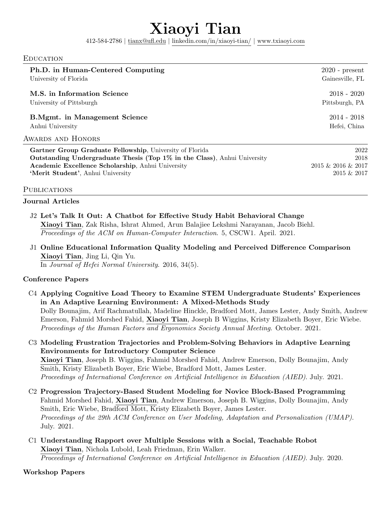# Xiaoyi Tian

412-584-2786 | [tianx@ufl.edu](mailto:tianx@ufl.edu) | linkedin.com/in/xiaoyi-tian/ | <www.txiaoyi.com>

#### Education

| $2020$ - present<br>Gainesville, FL |
|-------------------------------------|
| $2018 - 2020$<br>Pittsburgh, PA     |
| $2014 - 2018$<br>Hefei, China       |
|                                     |
| 2022<br>2018                        |
|                                     |

Outstanding Undergraduate Thesis (Top 1% in the Class), Anhui University 2018 Academic Excellence Scholarship, Anhui University 2015 & 2016 & 2016 & 2017 'Merit Student', Anhui University 2015 & 2017

#### PUBLICATIONS

#### Journal Articles

- J2 Let's Talk It Out: A Chatbot for Effective Study Habit Behavioral Change Xiaoyi Tian, Zak Risha, Ishrat Ahmed, Arun Balajiee Lekshmi Narayanan, Jacob Biehl. Proceedings of the ACM on Human-Computer Interaction. 5, CSCW1. April. 2021.
- J1 Online Educational Information Quality Modeling and Perceived Difference Comparison Xiaoyi Tian, Jing Li, Qin Yu.

In Journal of Hefei Normal University. 2016, 34(5).

#### Conference Papers

- C4 Applying Cognitive Load Theory to Examine STEM Undergraduate Students' Experiences in An Adaptive Learning Environment: A Mixed-Methods Study Dolly Bounajim, Arif Rachmatullah, Madeline Hinckle, Bradford Mott, James Lester, Andy Smith, Andrew Emerson, Fahmid Morshed Fahid, Xiaoyi Tian, Joseph B Wiggins, Kristy Elizabeth Boyer, Eric Wiebe. Proceedings of the Human Factors and Ergonomics Society Annual Meeting. October. 2021.
- C3 Modeling Frustration Trajectories and Problem-Solving Behaviors in Adaptive Learning Environments for Introductory Computer Science Xiaoyi Tian, Joseph B. Wiggins, Fahmid Morshed Fahid, Andrew Emerson, Dolly Bounajim, Andy Smith, Kristy Elizabeth Boyer, Eric Wiebe, Bradford Mott, James Lester. Proceedings of International Conference on Artificial Intelligence in Education (AIED). July. 2021.
- C2 Progression Trajectory-Based Student Modeling for Novice Block-Based Programming Fahmid Morshed Fahid, Xiaoyi Tian, Andrew Emerson, Joseph B. Wiggins, Dolly Bounajim, Andy Smith, Eric Wiebe, Bradford Mott, Kristy Elizabeth Boyer, James Lester. Proceedings of the 29th ACM Conference on User Modeling, Adaptation and Personalization (UMAP). July. 2021.
- C1 Understanding Rapport over Multiple Sessions with a Social, Teachable Robot Xiaoyi Tian, Nichola Lubold, Leah Friedman, Erin Walker. Proceedings of International Conference on Artificial Intelligence in Education (AIED). July. 2020.

Workshop Papers